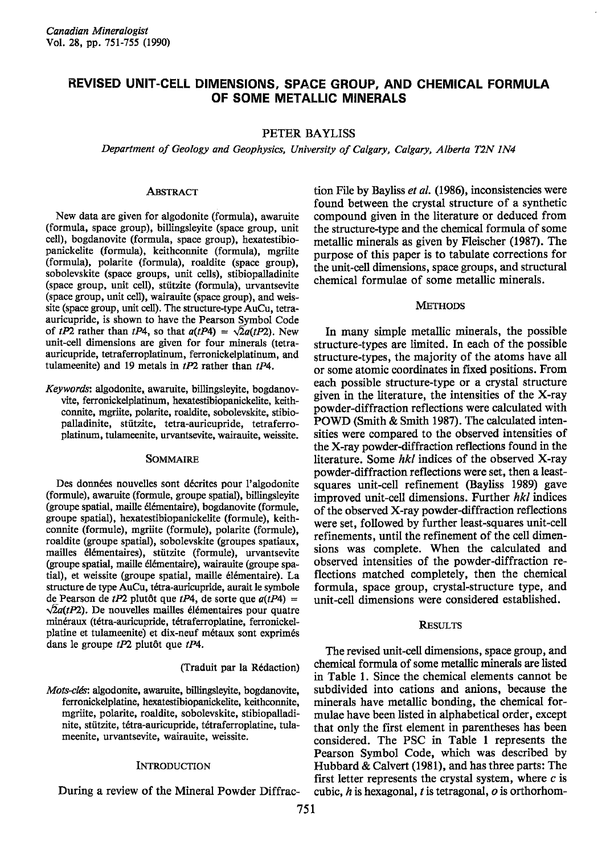# REVISED UNIT-CELL DIMENSIONS, SPACE GROUP, AND CHEMICAL FORMULA OF SOME METALLIC MINERALS

# PETER BAYLISS

Department of Geology and Geophysics, University of Calgary, Calgary, Alberta T2N IN4

# **ABSTRACT**

New data are given for algodonite (formula), awaruite (formula, space group), billingsleyite (space group, unit cell), bogdanovite (formula, space group), hexatestibiopanickelite (formula), keithconnire (formula), mgriite (formula), polarite (formula), roaldite (space group), sobolevskite (space groups, unit cells), stibiopalladinite (space group, unit cell), stiitzite (formula), urvantsevite (space group, unit cell), wairauite (space group), and weissite (space group, unit cell). The structure-type AuCu, tetraauricupride, is shown to have the Pearson Symbol Code of tP2 rather than tP4, so that  $a(tP4) = \sqrt{2}a(tP2)$ . New unit-cell dimensions are given for four minerals (tetraauricupride, tetraferroplatinum, ferronickelplatinum, and tulameenite) and 19 metals in  $tP2$  rather than  $tP4$ .

Keywords: algodonite, awaruite, billingsleyite, bogdauovvite, ferronickelplatinum, hexatestibiopanickelite, keithconnite, mgriite, polarite, roaldite, sobolevskite, stibiopalladinite, stiitzite, tetra-auricupride, tetraferroplatinum, tulameenite, urvantsevite, wairauite, weissite.

#### SOMMAIRE

Des données nouvelles sont décrites pour l'algodonite (formule), awaruite (formule, groupe spatial), billingsleyite (groupe spatial, maille 6l6mentaire), bogdanovite (formule, groupe spatial), hexatestibiopanickelite (formule), keithconnite (formule), mgriite (formule), polarite (formule), roaldite (groupe spatial), sobolevskite (groupes spatiaux, mailles 6l6mentaires), stiitzite (formule), urvantsevite Groupe spatial, maille 6l6mentaire), wairauite (groupe spatial), et weissite (groupe spatial, maille élémentaire). La structure de type AuCu, tétra-auricupride, aurait le symbole de Pearson de tP2 plutôt que tP4, de sorte que  $a(tP4) =$  $\sqrt{2}a(tP2)$ . De nouvelles mailles élémentaires pour quatre minéraux (tétra-auricupride, tétraferroplatine, ferronickelplatine et tulameenite) et dix-neuf métaux sont exprimés dans le groupe  $tP2$  plutôt que  $tP4$ .

### (Traduit par la R6daction)

Mots-clés: algodonite, awaruite, billingsleyite, bogdanovite, ferronickelplatine, hexatestibiopanickelite, keithconnite, mgriite, polarite, roaldite, sobolevskite, stibiopalladinite, stützite, tétra-auricupride, tétraferroplatine, tulameenite, urvantsevite, wairauite, weissite.

### **INTRODUCTION**

During a review of the Mineral Powder Diffrac-

tion File by Bayliss et al. (1986), inconsistencies were found between the crystal structure of a synthetic compound given in the literature or deduced from the structure-type and the chemical formula of some metallic minerals as given by Fleischer (1987). The purpose of this paper is to tabulate corrections for the unit-cell dimensions, space groups, and structuml chemical formulae of some metallic minerals.

### **METHODS**

In many simple metallic minerals, the possible structure-types are limited. In each of the possible structure-types, the majority of the atoms have all or some atomic coordinates in fixed positions. From each possible structure-type or a crystal structure given in the literature, the intensities of the X-ray powder-diffraction reflections were calculated with POWD (Smith & Smith 1987). The calculated intensities were compared to the observed intensities of the X-ray powder-diffraction reflections found in the literature. Some  $hkl$  indices of the observed X-ray powder-diffraction reflections were set, then a leastsquares unit-cell refinement (Bayliss 1989) gave improved unit-cell dimensions. Further  $hkl$  indices of the observed X-ray powder-diffraction reflections were set, followed by further least-squares unit-cell refinements, until the refinement of the cell dimensions was complete. When the calculated and observed intensities of the powder-diffraction reflections matched completely, then the chemical formula, space group, crystal-structure type, and unit-cell dimensions were considered established.

# **RESULTS**

The revised unit-cell dimensions, space group, and chemical formula of some metallic minerals are listed in Table l. Since the chemical elements cannot be subdivided into cations and anions, because the minerals have metallic bonding, the chemical formulae have been listed in alphabetical order, except that only the first element in parentheses has been considered. The PSC in Table I represents the Pearson Symbol Code, which was described by Hubbard & Calvert (1981), and has three parfs: The first letter represents the crystal system, where  $c$  is cubic,  $h$  is hexagonal,  $t$  is tetragonal,  $o$  is orthorhom-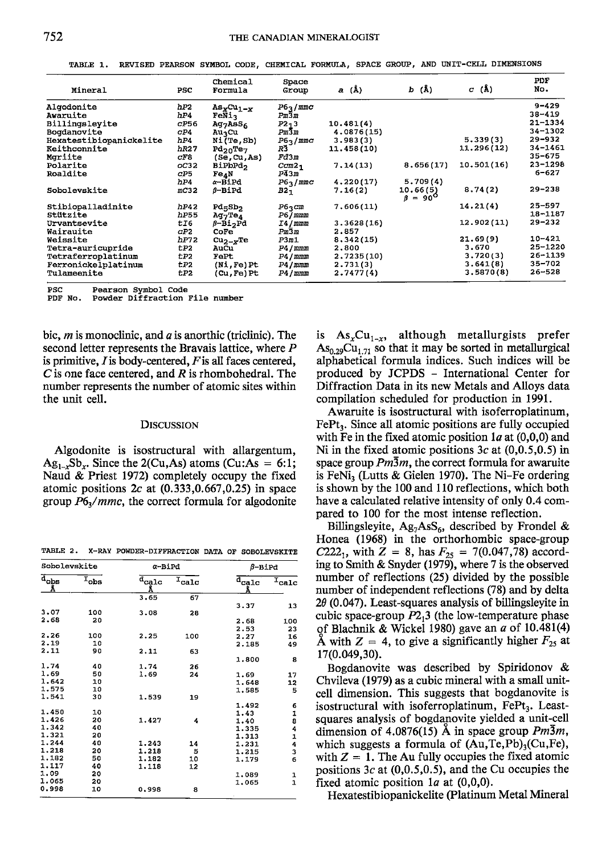TABLE 1. REVISED PEARSON SYMBOL CODE, CHEMICAL FORMULA, SPACE GROUP, AND UNIT-CELL DIMENSIONS

| Mineral                       | PSC          | Chemical<br>Formula              | Space<br>Group             | a (Å)      | $b(\lambda)$               | $C(\AA)$   | <b>PDF</b><br>No.         |
|-------------------------------|--------------|----------------------------------|----------------------------|------------|----------------------------|------------|---------------------------|
| Algodonite                    | hP2          | $AsxCu1-x$                       | P6 <sub>3</sub> /mmc       |            |                            |            | $9 - 429$                 |
| Awaruite                      | hP4          | FeNia                            | $Pm\overline{3}m$          |            |                            |            | $38 - 419$                |
| Billingsleyite                | CP56         | $Aq_7AsS_6$                      | $P2-3$                     | 10.481(4)  |                            |            | $21 - 1334$               |
| Bogdanovite                   | CP4          | AuzCu                            | $Pm\overline{3}m$          | 4.0876(15) |                            |            | $34 - 1302$               |
| Hexatestibiopanickelite       | hP4          | $N1$ $(Te, Sb)$                  | P6 <sub>3</sub> /mmc       | 3,983(3)   |                            | 5.339(3)   | $29 - 932$                |
| Keithconnite                  | hR27         | Pd <sub>20</sub> Te <sub>7</sub> | R3                         | 11.458(10) |                            | 11.296(12) | 34-1461                   |
| Mariite                       | crs          | (Se.Cu.As)                       | Fd3m                       |            |                            |            | $35 - 675$                |
| Polarite                      | OC32         | <b>BiPbPd</b> ,                  | $ccm2-$                    | 7.14(13)   | 8.656(17)                  | 10.501(16) | $23 - 1298$               |
| Roaldite                      | CP5          | Fe <sub>4</sub> N                | $P\bar{4}3m$               |            |                            |            | $6 - 627$                 |
|                               | hP4          | $\alpha$ -BiPd                   | P6 <sub>3</sub> /mmc       | 4.220(17)  | 5.709(4)                   |            |                           |
| Sobolevskite                  | mC32         | ß-BiPd                           | $B2_1$                     | 7.16(2)    | 10.66(5)<br>$B = 90^\circ$ | 8.74(2)    | $29 - 238$                |
| Stibiopalladinite<br>Stützite | hP42<br>hP55 | $Pd$ 5 $b2$<br>$Aq_7Te_4$        | $P6$ $\sim$ $cm$<br>P6/mmm | 7,606(11)  |                            | 14.21(4)   | $25 - 597$<br>$18 - 1187$ |
| Urvantsevite                  | tI6          | $\beta$ -Bi <sub>2</sub> Pd      | I4/mmm                     | 3.3628(16) |                            | 12.902(11) | $29 - 232$                |
| Wairauite                     | CP2          | $C$ O $Fe$                       | $Pm\overline{3}m$          | 2.857      |                            |            |                           |
| Weissite                      | hP72         | $cu_{2-x}$ Te                    | P3m1                       | 8.342(15)  |                            | 21.69(9)   | $10 - 421$                |
| Tetra-auricupride             | tP2          | AuCu                             | P4/mmm                     | 2,800      |                            | 3.670      | 25-1220                   |
| Tetraferroplatinum            | tP2          | FePt                             | P4/mmm                     | 2.7235(10) |                            | 3.720(3)   | 26-1139                   |
| Ferronickelplatinum           | tp2          | $(Ni, Fe)$ Pt                    | P4/mmm                     | 2.731(3)   |                            | 3.641(8)   | 35-702                    |
| Tulameenite                   | tP2          | (Cu,Fe)Pt                        | P4/mmm                     | 2.7477(4)  |                            | 3.5870(8)  | 26-528                    |

**PSC** Pearson Symbol Code

Powder Diffraction File number PDF No.

bic, *m* is monoclinic, and *a* is anorthic (triclinic). The second letter represents the Bravais lattice, where P is primitive,  $I$  is body-centered,  $F$  is all faces centered,  $C$  is one face centered, and  $R$  is rhombohedral. The number represents the number of atomic sites within the unit cell.

#### **DISCUSSION**

Algodonite is isostructural with allargentum,  $Ag_{1}$ , Sb, Since the 2(Cu,As) atoms (Cu:As = 6:1; Naud & Priest 1972) completely occupy the fixed atomic positions  $2c$  at  $(0.333, 0.667, 0.25)$  in space group  $P6<sub>3</sub>/mmc$ , the correct formula for algodonite

TABLE 2. X-RAY POWDER-DIFFRACTION DATA OF SOBOLEVSKITE

| Sobolevskite                                |                             | $\alpha$ -BiPd                  |            | $\beta$ -BiPd                   |                              |  |
|---------------------------------------------|-----------------------------|---------------------------------|------------|---------------------------------|------------------------------|--|
| $\overline{\mathbf{d}}_{\mathbf{obs}}$<br>Å | $\overline{I}_{\text{obs}}$ | $\overline{d_{\rm{calc}}}$<br>Å | $I_{calc}$ | $\overline{d_{\rm{calc}}}$<br>Å | $\overline{I}_{\text{calc}}$ |  |
|                                             |                             | 3.65                            | 67         |                                 |                              |  |
|                                             |                             |                                 |            | 3.37                            | 13                           |  |
| 3.07                                        | 100                         | 3.08                            | 28         |                                 |                              |  |
| 2.68                                        | 20                          |                                 |            | 2.68                            | 100                          |  |
|                                             |                             |                                 |            | 2.53                            | 23                           |  |
| 2.26                                        | 100                         | 2.25                            | 100        | 2.27                            | 16                           |  |
| 2.19                                        | 10                          |                                 |            | 2.185                           | 49                           |  |
| 2.11                                        | 90                          | 2.11                            | 63         |                                 |                              |  |
|                                             |                             |                                 |            | 1.800                           | 8                            |  |
| 1.74                                        | 40                          | 1.74                            | 26         |                                 |                              |  |
| 1.69                                        | 50                          | 1.69                            | 24         | 1.69                            | 17                           |  |
| 1.642                                       | 10                          |                                 |            | 1.648                           | 12                           |  |
| 1.575                                       | 10                          |                                 |            | 1.585                           | 5                            |  |
| 1.541                                       | 30                          | 1.539                           | 19         |                                 |                              |  |
|                                             |                             |                                 |            | 1.492                           | 6                            |  |
| 1.450                                       | 10                          |                                 |            | 1.43                            | 1                            |  |
| 1.426                                       | 20                          | 1.427                           | 4          | 1.40                            | 8                            |  |
| 1.342                                       | 40                          |                                 |            | 1.335                           | 4                            |  |
| 1.321                                       | 20                          |                                 |            | 1.313                           | 1                            |  |
| 1.244                                       | 40                          | 1.243                           | 14         | 1.231                           | 4                            |  |
| 1.218                                       | 20                          | 1.218                           | 5          | 1.215                           | 3                            |  |
| 1.182                                       | 50                          | 1.182                           | 10         | 1.179                           | 6                            |  |
| 1.117                                       | 40                          | 1.118                           | 12         |                                 |                              |  |
| 1.09                                        | 20                          |                                 |            | 1,089                           | 1                            |  |
| 1.065                                       | 20                          |                                 |            | 1,065                           | $\mathbf{1}$                 |  |
| 0.998                                       | 10                          | 0.998                           | 8          |                                 |                              |  |

is  $\text{As}_{x} \text{Cu}_{1-x}$ , although metallurgists prefer  $As_{0.29}Cu_{1.71}$  so that it may be sorted in metallurgical alphabetical formula indices. Such indices will be produced by JCPDS - International Center for Diffraction Data in its new Metals and Alloys data compilation scheduled for production in 1991.

Awaruite is isostructural with isoferroplatinum, FePt<sub>3</sub>. Since all atomic positions are fully occupied with Fe in the fixed atomic position  $1a$  at  $(0,0,0)$  and Ni in the fixed atomic positions  $3c$  at  $(0,0.5,0.5)$  in space group  $Pm\overline{3}m$ , the correct formula for awaruite is FeNi, (Lutts & Gielen 1970). The Ni-Fe ordering is shown by the 100 and 110 reflections, which both have a calculated relative intensity of only 0.4 compared to 100 for the most intense reflection.

Billingsleyite,  $Ag_7AsS_6$ , described by Frondel & Honea (1968) in the orthorhombic space-group C222<sub>1</sub>, with  $Z = 8$ , has  $F_{25} = 7(0.047, 78)$  according to Smith & Snyder (1979), where 7 is the observed number of reflections (25) divided by the possible number of independent reflections (78) and by delta  $2\theta$  (0.047). Least-squares analysis of billingsleyite in cubic space-group  $P2_13$  (the low-temperature phase of Blachnik & Wickel 1980) gave an  $\alpha$  of 10.481(4) A with  $Z = 4$ , to give a significantly higher  $F_{25}$  at 17(0.049,30).

Bogdanovite was described by Spiridonov & Chvileva (1979) as a cubic mineral with a small unitcell dimension. This suggests that bogdanovite is isostructural with isoferroplatinum, FePt<sub>3</sub>. Leastsquares analysis of bogdanovite yielded a unit-cell dimension of 4.0876(15) Å in space group  $Pm\overline{3}m$ , which suggests a formula of  $(Au,Te,Pb)$ <sub>3</sub>(Cu,Fe), with  $Z = 1$ . The Au fully occupies the fixed atomic positions  $3c$  at  $(0,0.5,0.5)$ , and the Cu occupies the fixed atomic position 1*a* at  $(0,0,0)$ .

Hexatestibiopanickelite (Platinum Metal Mineral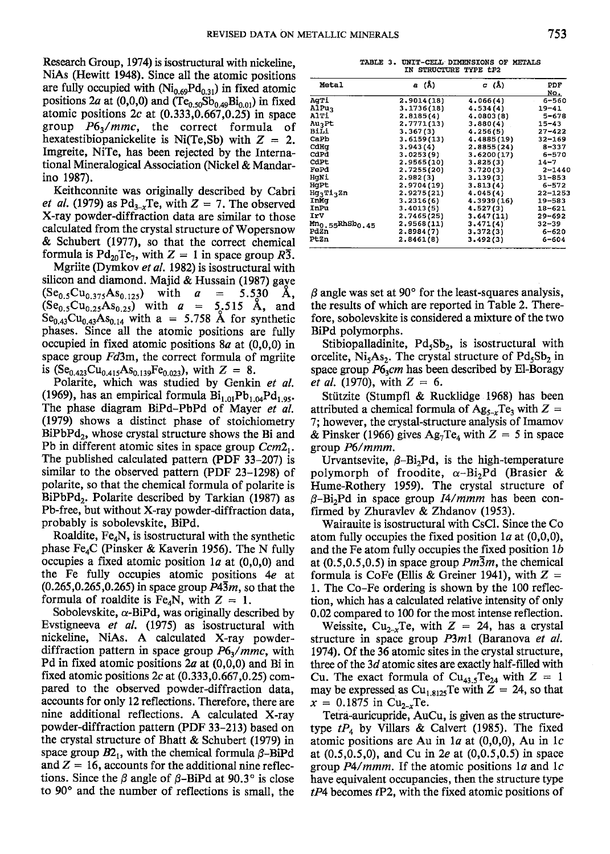Research Group, 1974) is isostructural with nickeline, NiAs (Hewitt 1948). Since all the atomic positions are fully occupied with  $(Ni_{0.69}Pd_{0.31})$  in fixed atomic positions 2a at (0,0,0) and ( $Te_{0.50}Sb_{0.49}Bi_{0.01}$ ) in fixed atomic positions  $2c$  at  $(0.333, 0.667, 0.25)$  in space group  $P6_3/mmc$ , the correct formula of hexatestibiopanickelite is Ni(Te,Sb) with  $Z = 2$ . Imgreite, NiTe, has been rejected by the International Mineralogical Association (Nickel & Mandarino 1987).

Keithconnite was originally described by Cabri *et al.* (1979) as  $Pd_{3-x}Te$ , with  $Z = 7$ . The observed X-ray powder-diffraction data are similar to those calculated from the crystal structure of Wopersnow & Schubert (1977), so that the correct chemical formula is  $Pd_{20}Te_7$ , with  $Z = 1$  in space group  $R\overline{3}$ .

Mgriite (Dymkov et al. 1982) is isostructural with silicon and diamond. Majid & Hussain (1987) gaye  $(Se<sub>0.5</sub>Cu<sub>0.375</sub>As<sub>0.125</sub>)$  with  $a = 5.530$  A,  $(Se_{0.5}Cu_{0.25}As_{0.25})$  with  $\alpha = 5.515$  A, and  $Se<sub>0.43</sub>Cu<sub>0.43</sub>As<sub>0.14</sub>$  with a = 5.758 Å for synthetic phases. Since all the atomic positions are fully occupied in fixed atomic positions  $8a$  at  $(0.0,0)$  in space group  $Fd3m$ , the correct formula of mgriite is (Se<sub>0.423</sub>Cu<sub>0.415</sub>As<sub>0.139</sub>Fe<sub>0.023</sub>), with  $Z = 8$ .

Polarite, which was studied by Genkin et al. (1969), has an empirical formula  $Bi_{1.01}Pb_{1.04}Pd_{1.95}$ . The phase diagram BiPd-PbPd of Mayer et al. (1979) shows a distinct phase of stoichiometry  $BiPbPd<sub>2</sub>$ , whose crystal structure shows the Bi and Pb in different atomic sites in space group Ccm2,. The published calculated pattern (PDF  $33-207$ ) is similar to the observed pattern (PDF 23–1298) of polarite, so that the chemical formula of polarite is BiPbPd<sub>2</sub>. Polarite described by Tarkian (1987) as Pb-free, but without X-ray powder-diffraction data, probably is sobolevskite, BiPd.

Roaldite,  $Fe<sub>4</sub>N$ , is isostructural with the synthetic phase Fe<sub>4</sub>C (Pinsker & Kaverin 1956). The N fully occupies a fixed atomic position  $1a$  at  $(0,0,0)$  and the Fe fully occupies atomic positions 4e at  $(0.265, 0.265, 0.265)$  in space group  $P4\overline{3}m$ , so that the formula of roaldite is Fe<sub>4</sub>N, with  $Z = 1$ .

Sobolevskite,  $\alpha$ -BiPd, was originally described by Evstigneeva et al. (1975) as isostructural with nickeline, NiAs. A calculated X-ray powderdiffraction pattern in space group  $P6<sub>3</sub>/mmc$ , with Pd in fixed atomic positions  $2a$  at  $(0,0,0)$  and Bi in fixed atomic positions  $2c$  at  $(0.333, 0.667, 0.25)$  compared to the observed powder-diffraction data, accounts for only 12 reflections. Therefore, there are nine additional reflections. A calculated X-ray powder-diffraction pattern (PDF 33-213) based on the crystal structure of Bhatt & Schubert (1979) in space group  $B2_1$ , with the chemical formula  $\beta$ -BiPd and  $Z = 16$ , accounts for the additional nine reflections. Since the  $\beta$  angle of  $\beta$ -BiPd at 90.3° is close to 90° and the number of reflections is small, the

|  | TABLE 3. UNIT-CELL DIMENSIONS OF METALS |  |  |  |
|--|-----------------------------------------|--|--|--|
|  | IN STRUCTURE TYPE tP2                   |  |  |  |

| Metal                                   | a (Å)      | $\sigma$ (Å) | PDF<br>No.  |
|-----------------------------------------|------------|--------------|-------------|
| AqTi                                    | 2,9014(18) | 4.066(4)     | 6-560       |
| <b>AlPuz</b>                            | 3.1736(18) | 4.534(4)     | $19 - 41$   |
| AlTi                                    | 2,8185(4)  | 4.0803(8)    | $5 - 678$   |
| <b>AuzPt</b>                            | 2.7771(13) | 3.880(4)     | $15 - 43$   |
| Bili                                    | 3.367(3)   | 4.256(5)     | $27 - 422$  |
| CaPb                                    | 3.6159(13) | 4.4885(19)   | $32 - 169$  |
| CdHa                                    | 3.943(4)   | 2.8855(24)   | $8 - 337$   |
| CdPd                                    | 3.0253(9)  | 3.6200(17)   | $6 - 570$   |
| CdPt                                    | 2.9565(10) | 3.825(3)     | 14–7        |
| FePd                                    | 2.7255(20) | 3.720(3)     | $2 - 1440$  |
| HqNi                                    | 2.982(3)   | 3.139(3)     | $31 - 853$  |
| HaPt                                    | 2.9704(19) | 3.813(4)     | $6 - 572$   |
| HgaTiaZn                                | 2.9275(21) | 4.045(4)     | $22 - 1253$ |
| InMq                                    | 3,2316(6)  | 4.3939(16)   | 19-583      |
| InPu                                    | 3,4013(5)  | 4.527(3)     | $18 - 621$  |
| IrV                                     | 2.7465(25) | 3.647(11)    | $29 - 692$  |
| Mn <sub>0.55</sub> RhSb <sub>0.45</sub> | 2.9568(11) | 3.471(4)     | $32 - 39$   |
| PdZn                                    | 2.8984(7)  | 3.372(3)     | 6-620       |
| PtZn                                    | 2.8461(8)  | 3.492(3)     | 6-604       |

 $\beta$  angle was set at 90 $^{\circ}$  for the least-squares analysis, the results of which are reported in Table 2. Therefore, sobolevskite is considered a mixture of the two BiPd polymorphs.

Stibiopalladinite,  $Pd_5Sb_2$ , is isostructural with orcelite,  $Ni<sub>5</sub>As<sub>2</sub>$ . The crystal structure of  $Pd<sub>5</sub>Sh<sub>2</sub>$  in space group  $P6_3$ cm has been described by El-Boragy *et al.* (1970), with  $Z = 6$ .

Stiitzite (Stumpfl & Rucklidge 1968) has been attributed a chemical formula of  $Ag_{5-r}Te_3$  with  $Z =$ 7; however, the crystal-structure analysis of Imamov & Pinsker (1966) gives  $\text{Ag}_7 \text{Te}_4$  with  $Z = 5$  in space group P6/mmm.

Urvantsevite,  $\beta$ -Bi<sub>2</sub>Pd, is the high-temperature polymorph of froodite,  $\alpha-\text{Bi}_2\text{Pd}$  (Brasier & Hume-Rothery 1959). The crystal structure of  $\beta$ -Bi<sub>2</sub>Pd in space group *I4/mmm* has been confirmed by Zhuravlev & Zhdanov (1953).

Wairauite is isostructural with CsCl. Since the Co atom fully occupies the fixed position  $1a$  at (0,0,0), and the Fe atom fully occupies the fixed position  $1b$ at (0,5,0,5,0,5) in space group  $Pm\overline{3}m$ , the chemical formula is CoFe (Ellis & Greiner 1941), with  $Z =$ l. The Co-Fe ordering is shown by the 100 reflection, which has a calculated relative intensity of only 0.02 compared to 100 for the most intense reflection.

Weissite, Cu<sub>2-x</sub>Te, with  $Z = 24$ , has a crystal structure in space group  $P3m1$  (Baranova et al. 1974). Of the 36 atomic sites in the crystal structure, three of the  $3d$  atomic sites are exactly half-filled with Cu. The exact formula of  $Cu_{43.5}Te_{24}$  with  $Z = 1$ may be expressed as Cu<sub>1.8125</sub>Te with  $Z = 24$ , so that  $x = 0.1875$  in Cu<sub>2-x</sub>Te.

Tetra-auricupride, AuCu, is given as the structuretype  $tP_4$  by Villars & Calvert (1985). The fixed atomic positions are Au in  $1a$  at (0,0,0), Au in 1c at (0.5,0.5,0), and Cu in 2e at (0,0.5,0.5) in space group  $P4/mmm$ . If the atomic positions 1a and 1c have equivalent occupancies, then the structure type  $tP4$  becomes  $tP2$ , with the fixed atomic positions of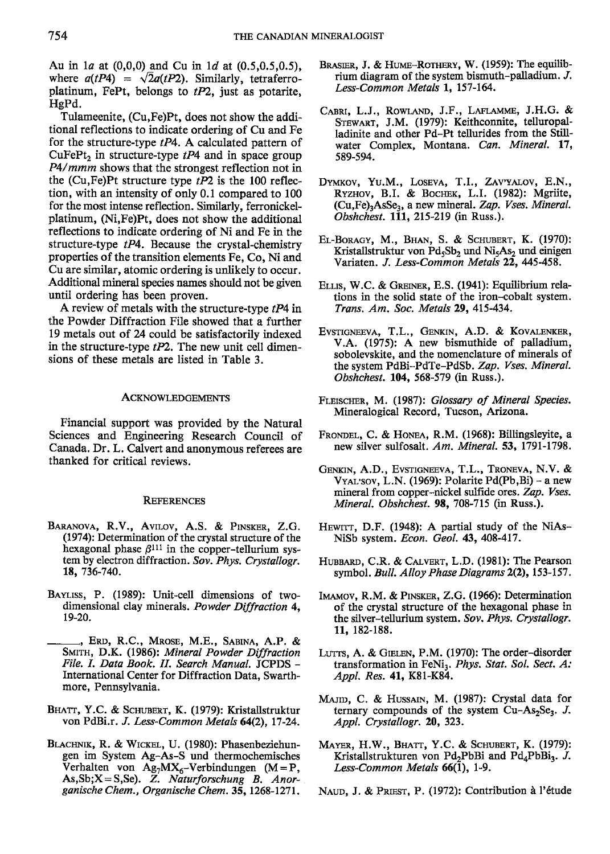Au in  $1a$  at  $(0,0,0)$  and Cu in  $1d$  at  $(0.5,0.5,0.5)$ , where  $a(tP4) = \sqrt{2}a(tP2)$ . Similarly, tetraferroplatinum, FePt, belongs to  $tP2$ , just as potarite, HgPd.

Tulameenite, (Cu,Fe)Pt, does not show the additional reflections to indicate ordering of Cu and Fe for the structure-type  $tP4$ . A calculated pattern of CuFePt<sub>2</sub> in structure-type  $tP4$  and in space group P4/mmm shows that the strongest reflection not in the (Cu,Fe)Pt structure type  $tP2$  is the 100 reflection, with an intensity of only 0.1 compared to 100 for the most intense reflection. Similarly, ferronickelplatinum, (Ni,Fe)Pt, does not show the additional reflections to indicate ordering of Ni and Fe in the structure-type  $tP4$ . Because the crystal-chemistry properties of the transition elements Fe, Co, Ni and Cu are similar, atomic ordering is unlikely to occur. Additional mineral species names should not be given until ordering has been proven.

A review of metals with the structure-type  $tP4$  in the Powder Diffraction File showed that a further 19 metals out of 24 could be satisfactorily indexed in the structure-type  $tP2$ . The new unit cell dimensions of these metals are listed in Table 3.

#### ACKNoWLEDGEMENTS

Financial support was provided by the Natural Sciences and Engineering Research Council of Canada. Dr. L. Calvert and anonymous referees are thanked for critical reviews.

### **REFERENCES**

- BARANOVA, R.V., AVILOV, A.S. & PINSKER, Z.G. (1974): Determination of the crystal structue of the hexagonal phase  $\beta^{111}$  in the copper-tellurium system by electron diffraction. Sov. Phys. Crystallogr. 18, 736-740.
- BAYLISS, P. (1989): Unit-cell dimensions of twodimensional clay minerals. Powder Diffraction 4, t9-20.
- ., Erd, R.C., Mrose, M.E., Sabina, A.P. & SMITH, D.K. (1986): Mineral Powder Diffraction File. I. Data Book. II. Search Manual. JCPDS -International Center for Diffraction Data. Swarthmore, Pennsylvania.
- BHATT, Y.C. & SCHUBERT, K. (1979): Kristallstruktur von PdBi.r. J. Less-Common Metals 64(2), 17-24.
- BLACHNIK, R. & WICKEL, U. (1980): Phasenbeziehungen im System Ag-As-S und thermochemisches Verhalten von Ag<sub>7</sub>MX<sub>6</sub>-Verbindungen (M=P, As, Sb;  $X = S$ , Se). Z. Naturforschung B. Anorganische Chem., Organische Chem. 35, 1268-1271.
- BRASIER, J. & HUME-ROTHERY, W. (1959): The equilibrium diagram of the system bismuth-palladium.  $J$ . Less-Common Metals l, 157-164.
- CABRI, L.J., ROWLAND, J.F., LAFLAMME, J.H.G. & Srrwanr, J.M. (1979): Keithconnite, telluropalladinite and other Pd-Pt tellurides from the Stillwater Complex, Montana. Can. Mineral. 17, 589-594.
- DYMKOV, YU.M., LOSEVA, T.I., ZAV'YALOV, E.N., RYZHOV, B.I. & BOCHEK, L.I. (1982): Mgriite,  $(Cu,Fe)_3AsSe_3$ , a new mineral. Zap. Vses. Mineral. Obshchest. 111, 215-219 (in Russ.).
- EL-BORAGY, M., BHAN, S. & SCHUBERT, K. (1970): Kristallstruktur von  $Pd_5Sb_2$  und Ni $_5As_2$  und einigen Variaten. J. Less-Common Metals 22, 445-458.
- ELLIS, W.C. & GREINER, E.S. (1941): Equilibrium relations in the solid state of the iron-cobalt system. Trans. Am. Soc, Metals 29,415-434.
- Evstigneeva, T.L., Genkin, A.D. & Kovalenker, V.A. (1975): A new bismuthide of palladium, sobolevskite, and the nomenclature of minerals of the system PdBi-PdTe-PdSb. Zap. Vses. Mineral. Obshchest. 104, 568-579 (in Russ.).
- FLEISCHER, M. (1987): Glossary of Mineral Species. Mineralogical Record, Tucson, Arizona.
- FRONDEL, C. & HONEA, R.M. (1968): Billingsleyite, a new silver sulfosalt. Am. Mineral. 53, 179l-1798.
- GENKIN, A.D., EVSTIGNEEVA, T.L., TRONEVA, N.V. & V $Y_{\text{VAL}}$ 'sov, L.N. (1969): Polarite Pd(Pb, Bi) – a new mineral from copper-nickel sulfide ores. Zap. Vses. Mineral. Obshchest. 98, 708-715 (in Russ.).
- HEWITT, D.F. (1948): A partial study of the NiAs-NiSb system. Econ. Geol. 43, 408-417.
- HUBBARD, C.R. & CALVERT, L.D. (1981): The Pearson symbol. Bull. Alloy Phase Diagrams 2(2), 153-157.
- IMAMOV, R.M. & PINSKER, Z.G. (1966): Determination of the crystal structure of the hexagonal phase in the silver-tellurium system. Sov. Phys. Crystallogr. 11, 182-188.
- LUTTS, A. & GIELEN, P.M. (1970): The order-disorder transformation in FeNi<sub>3</sub>. Phys. Stat. Sol. Sect. A: Appl. Res. 41, K81-K84.
- MAJID, C. & HUSSAIN, M. (1987): Crystal data for ternary compounds of the system Cu-As<sub>2</sub>Se<sub>3</sub>. J. *Appl. Crystallogr.* **20**, 323.
- MAYER, H.W., BHATT, Y.C. & SCHUBERT, K. (1979): Kristallstrukturen von Pd<sub>2</sub>PbBi and Pd<sub>4</sub>PbBi<sub>3</sub>. J. Less-Common Metals 66(l), l-9.
- NAUD, J. & PRIEST, P. (1972): Contribution à l'étude